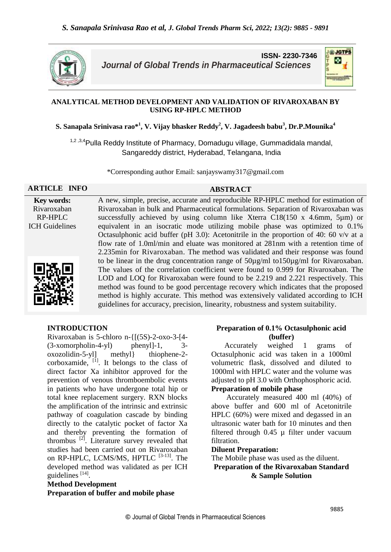

**ISSN- 2230-7346** *Journal of Global Trends in Pharmaceutical Sciences*



### **ANALYTICAL METHOD DEVELOPMENT AND VALIDATION OF RIVAROXABAN BY USING RP-HPLC METHOD**

 ${\bf S.}$  Sanapala Srinivasa rao $^{\ast1}$ , V. Vijay bhasker Reddy $^2$ , V. Jagadeesh babu $^3$ , Dr.P.Mounika $^4$ 

<sup>1,2,3,4</sup>Pulla Reddy Institute of Pharmacy, Domadugu village, Gummadidala mandal, Sangareddy district, Hyderabad, Telangana, India

\*Corresponding author Email: sanjayswamy317@gmail.com

#### **ARTICLE INFO ABSTRACT**

**Key words:** Rivaroxaban RP-HPLC ICH Guidelines



A new, simple, precise, accurate and reproducible RP-HPLC method for estimation of Rivaroxaban in bulk and Pharmaceutical formulations. Separation of Rivaroxaban was successfully achieved by using column like Xterra C18(150 x 4.6mm, 5µm) or equivalent in an isocratic mode utilizing mobile phase was optimized to 0.1% Octasulphonic acid buffer (pH 3.0): Acetonitrile in the proportion of 40: 60 v/v at a flow rate of 1.0ml/min and eluate was monitored at 281nm with a retention time of 2.235min for Rivaroxaban. The method was validated and their response was found to be linear in the drug concentration range of 50µg/ml to150µg/ml for Rivaroxaban. The values of the correlation coefficient were found to 0.999 for Rivaroxaban. The LOD and LOQ for Rivaroxaban were found to be 2.219 and 2.221 respectively. This method was found to be good percentage recovery which indicates that the proposed method is highly accurate. This method was extensively validated according to ICH guidelines for accuracy, precision, linearity, robustness and system suitability.

### **INTRODUCTION**

Rivaroxaban is 5-chloro n-{[(5S)-2-oxo-3-[4-  $(3-xomorphism-4-yl)$  phenyl]-1, 3oxozolidin-5-yl] methyl} thiophene-2 corboxamide,  $\left[1\right]$ . It belongs to the class of direct factor Xa inhibitor approved for the prevention of venous thromboembolic events in patients who have undergone total hip or total knee replacement surgery. RXN blocks the amplification of the intrinsic and extrinsic pathway of coagulation cascade by binding directly to the catalytic pocket of factor Xa and thereby preventing the formation of thrombus  $^{[2]}$ . Literature survey revealed that studies had been carried out on Rivaroxaban on RP-HPLC, LCMS/MS, HPTLC [3-13]. The developed method was validated as per ICH guidelines<sup>[14]</sup>.

# **Method Development**

**Preparation of buffer and mobile phase**

### **Preparation of 0.1% Octasulphonic acid (buffer)**

 Accurately weighed 1 grams of Octasulphonic acid was taken in a 1000ml volumetric flask, dissolved and diluted to 1000ml with HPLC water and the volume was adjusted to pH 3.0 with Orthophosphoric acid. **Preparation of mobile phase**

 Accurately measured 400 ml (40%) of above buffer and 600 ml of Acetonitrile HPLC (60%) were mixed and degassed in an ultrasonic water bath for 10 minutes and then filtered through 0.45 µ filter under vacuum filtration.

#### **Diluent Preparation:**

The Mobile phase was used as the diluent. **Preparation of the Rivaroxaban Standard** 

**& Sample Solution**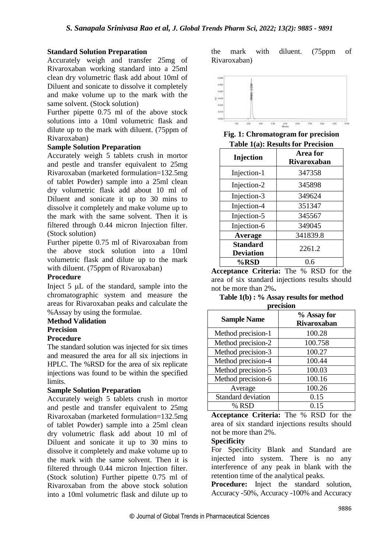### **Standard Solution Preparation**

Accurately weigh and transfer 25mg of Rivaroxaban working standard into a 25ml clean dry volumetric flask add about 10ml of Diluent and sonicate to dissolve it completely and make volume up to the mark with the same solvent. (Stock solution)

Further pipette 0.75 ml of the above stock solutions into a 10ml volumetric flask and dilute up to the mark with diluent. (75ppm of Rivaroxaban)

### **Sample Solution Preparation**

Accurately weigh 5 tablets crush in mortor and pestle and transfer equivalent to 25mg Rivaroxaban (marketed formulation=132.5mg of tablet Powder) sample into a 25ml clean dry volumetric flask add about 10 ml of Diluent and sonicate it up to 30 mins to dissolve it completely and make volume up to the mark with the same solvent. Then it is filtered through 0.44 micron Injection filter. (Stock solution)

Further pipette 0.75 ml of Rivaroxaban from the above stock solution into a 10ml volumetric flask and dilute up to the mark with diluent. (75ppm of Rivaroxaban)

### **Procedure**

Inject 5 µL of the standard, sample into the chromatographic system and measure the areas for Rivaroxaban peaks and calculate the %Assay by using the formulae.

### **Method Validation**

#### **Precision**

### **Procedure**

The standard solution was injected for six times and measured the area for all six injections in HPLC. The %RSD for the area of six replicate injections was found to be within the specified limits.

### **Sample Solution Preparation**

Accurately weigh 5 tablets crush in mortor and pestle and transfer equivalent to 25mg Rivaroxaban (marketed formulation=132.5mg of tablet Powder) sample into a 25ml clean dry volumetric flask add about 10 ml of Diluent and sonicate it up to 30 mins to dissolve it completely and make volume up to the mark with the same solvent. Then it is filtered through 0.44 micron Injection filter. (Stock solution) Further pipette 0.75 ml of Rivaroxaban from the above stock solution into a 10ml volumetric flask and dilute up to

the mark with diluent. (75ppm of Rivaroxaban)



**Fig. 1: Chromatogram for precision Table 1(a): Results for Precision**

| Injection        | Area for<br>Rivaroxaban |  |  |
|------------------|-------------------------|--|--|
| Injection-1      | 347358                  |  |  |
| Injection-2      | 345898                  |  |  |
| Injection-3      | 349624                  |  |  |
| Injection-4      | 351347                  |  |  |
| Injection-5      | 345567                  |  |  |
| Injection-6      | 349045                  |  |  |
| <b>Average</b>   | 341839.8                |  |  |
| <b>Standard</b>  | 2261.2                  |  |  |
| <b>Deviation</b> |                         |  |  |
| %RSD             | 0.6                     |  |  |

**Acceptance Criteria:** The % RSD for the area of six standard injections results should not be more than 2%**.**

**Table 1(b) : % Assay results for method precision**

| <b>Sample Name</b>               | % Assay for<br>Rivaroxaban |
|----------------------------------|----------------------------|
| Method precision-1               | 100.28                     |
| Method precision-2               | 100.758                    |
| Method precision-3               | 100.27                     |
| Method precision-4               | 100.44                     |
| Method precision-5               | 100.03                     |
| Method precision- $\overline{6}$ | 100.16                     |
| Average                          | 100.26                     |
| Standard deviation               | 0.15                       |
| % RSD                            | 0.15                       |

**Acceptance Criteria:** The % RSD for the area of six standard injections results should not be more than 2%.

### **Specificity**

For Specificity Blank and Standard are injected into system. There is no any interference of any peak in blank with the retention time of the analytical peaks.

**Procedure:** Inject the standard solution, Accuracy -50%, Accuracy -100% and Accuracy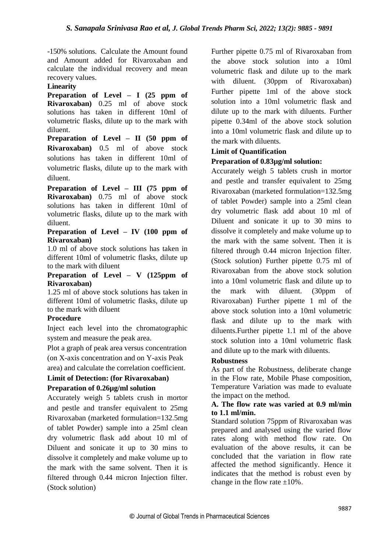-150% solutions. Calculate the Amount found and Amount added for Rivaroxaban and calculate the individual recovery and mean recovery values.

### **Linearity**

**Preparation of Level – I (25 ppm of Rivaroxaban)** 0.25 ml of above stock solutions has taken in different 10ml of volumetric flasks, dilute up to the mark with diluent.

**Preparation of Level – II (50 ppm of Rivaroxaban)** 0.5 ml of above stock solutions has taken in different 10ml of volumetric flasks, dilute up to the mark with diluent.

**Preparation of Level – III (75 ppm of Rivaroxaban)** 0.75 ml of above stock solutions has taken in different 10ml of volumetric flasks, dilute up to the mark with diluent.

### **Preparation of Level – IV (100 ppm of Rivaroxaban)**

1.0 ml of above stock solutions has taken in different 10ml of volumetric flasks, dilute up to the mark with diluent

### **Preparation of Level – V (125ppm of Rivaroxaban)**

1.25 ml of above stock solutions has taken in different 10ml of volumetric flasks, dilute up to the mark with diluent

### **Procedure**

Inject each level into the chromatographic system and measure the peak area.

Plot a graph of peak area versus concentration (on X-axis concentration and on Y-axis Peak area) and calculate the correlation coefficient.

**Limit of Detection: (for Rivaroxaban)**

### **Preparation of 0.26µg/ml solution**

Accurately weigh 5 tablets crush in mortor and pestle and transfer equivalent to 25mg Rivaroxaban (marketed formulation=132.5mg of tablet Powder) sample into a 25ml clean dry volumetric flask add about 10 ml of Diluent and sonicate it up to 30 mins to dissolve it completely and make volume up to the mark with the same solvent. Then it is filtered through 0.44 micron Injection filter. (Stock solution)

Further pipette 0.75 ml of Rivaroxaban from the above stock solution into a 10ml volumetric flask and dilute up to the mark with diluent. (30ppm of Rivaroxaban) Further pipette 1ml of the above stock solution into a 10ml volumetric flask and dilute up to the mark with diluents. Further pipette 0.34ml of the above stock solution into a 10ml volumetric flask and dilute up to the mark with diluents.

### **Limit of Quantification**

### **Preparation of 0.83µg/ml solution:**

Accurately weigh 5 tablets crush in mortor and pestle and transfer equivalent to 25mg Rivaroxaban (marketed formulation=132.5mg of tablet Powder) sample into a 25ml clean dry volumetric flask add about 10 ml of Diluent and sonicate it up to 30 mins to dissolve it completely and make volume up to the mark with the same solvent. Then it is filtered through 0.44 micron Injection filter. (Stock solution) Further pipette 0.75 ml of Rivaroxaban from the above stock solution into a 10ml volumetric flask and dilute up to the mark with diluent. (30ppm of Rivaroxaban) Further pipette 1 ml of the above stock solution into a 10ml volumetric flask and dilute up to the mark with diluents.Further pipette 1.1 ml of the above stock solution into a 10ml volumetric flask and dilute up to the mark with diluents.

### **Robustness**

 As part of the Robustness, deliberate change in the Flow rate, Mobile Phase composition, Temperature Variation was made to evaluate the impact on the method.

### **A. The flow rate was varied at 0.9 ml/min to 1.1 ml/min.**

Standard solution 75ppm of Rivaroxaban was prepared and analysed using the varied flow rates along with method flow rate. On evaluation of the above results, it can be concluded that the variation in flow rate affected the method significantly. Hence it indicates that the method is robust even by change in the flow rate  $\pm 10\%$ .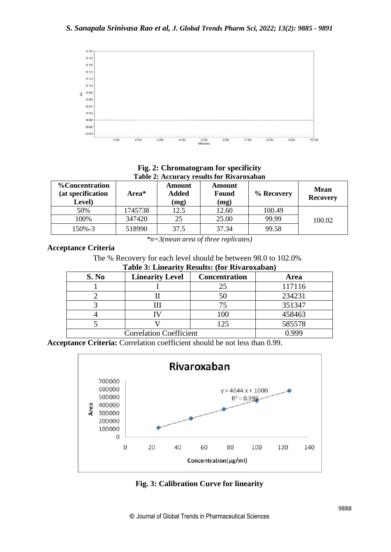

**Fig. 2: Chromatogram for specificity Table 2: Accuracy results for Rivaroxaban**

| <b>%Concentration</b><br>(at specification<br>Level) | Area*   | Amount<br><b>Added</b><br>(mg) | <b>Amount</b><br><b>Found</b><br>(mg) | % Recovery | <b>Mean</b><br><b>Recovery</b> |
|------------------------------------------------------|---------|--------------------------------|---------------------------------------|------------|--------------------------------|
| 50%                                                  | 1745738 | 12.5                           | 12.60                                 | 100.49     |                                |
| 100%                                                 | 347420  | 25                             | 25.00                                 | 99.99      | 100.02                         |
| 150%-3                                               | 518990  | 37.5                           | 37.34                                 | 99.58      |                                |

*\*n=3(mean area of three replicates)*

### **Acceptance Criteria**

The % Recovery for each level should be between 98.0 to 102.0%

**Table 3: Linearity Results: (for Rivaroxaban)**

| S. No                          | <b>Linearity Level</b> | <b>Concentration</b> | Area         |  |  |
|--------------------------------|------------------------|----------------------|--------------|--|--|
|                                |                        | 25                   | 117116       |  |  |
|                                |                        | 50                   | 234231       |  |  |
|                                |                        | 75                   | 351347       |  |  |
|                                |                        | 100                  | 458463       |  |  |
|                                |                        | 125                  | 585578       |  |  |
| <b>Correlation Coefficient</b> |                        |                      | <u>N 990</u> |  |  |

**Acceptance Criteria:** Correlation coefficient should be not less than 0.99.



**Fig. 3: Calibration Curve for linearity**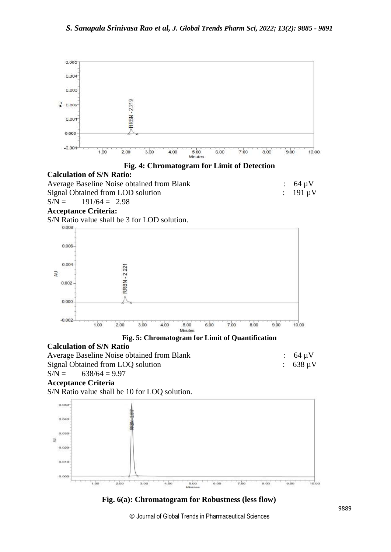





## **Acceptance Criteria:**

S/N Ratio value shall be 3 for LOD solution.





### **Calculation of S/N Ratio**

| <b>Average Baseline Noise obtained from Blank</b> | $\therefore$ 64 uV |
|---------------------------------------------------|--------------------|
| Signal Obtained from LOQ solution                 | $: 638 \mu V$      |
| $S/N =$<br>$638/64 = 9.97$                        |                    |

# **Acceptance Criteria**

S/N Ratio value shall be 10 for LOQ solution.



**Fig. 6(a): Chromatogram for Robustness (less flow)**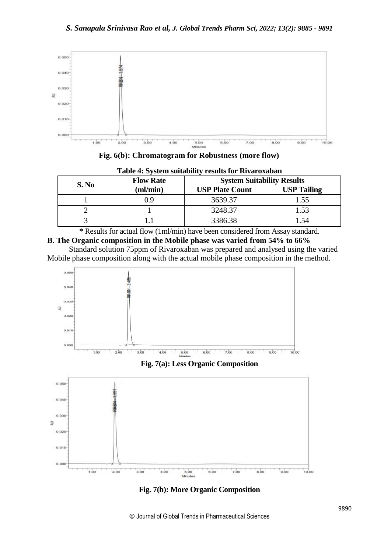

**Fig. 6(b): Chromatogram for Robustness (more flow)**

|       | <b>Flow Rate</b> | <b>System Suitability Results</b> |                    |  |
|-------|------------------|-----------------------------------|--------------------|--|
| S. No | (ml/min)         | <b>USP Plate Count</b>            | <b>USP Tailing</b> |  |
|       | 19               | 3639.37                           | 1.55               |  |
|       |                  | 3248.37                           |                    |  |
|       |                  | 3386.38                           | .54                |  |

| Table 4: System suitability results for Rivaroxaban |  |  |
|-----------------------------------------------------|--|--|
|-----------------------------------------------------|--|--|

**\*** Results for actual flow (1ml/min) have been considered from Assay standard. **B. The Organic composition in the Mobile phase was varied from 54% to 66%** 

 Standard solution 75ppm of Rivaroxaban was prepared and analysed using the varied Mobile phase composition along with the actual mobile phase composition in the method.



### **Fig. 7(a): Less Organic Composition**